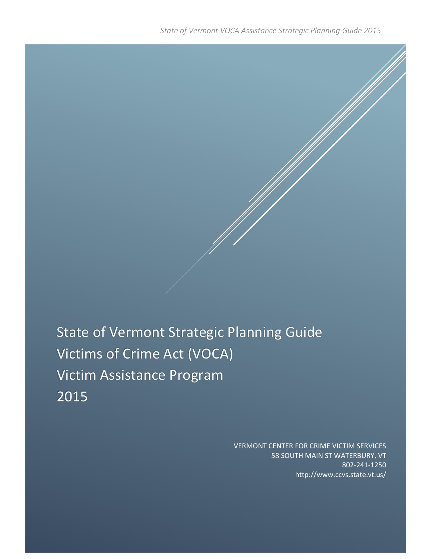State of Vermont Strategic Planning Guide Victims of Crime Act (VOCA) Victim Assistance Program 2015

> VERMONT CENTER FOR CRIME VICTIM SERVICES 58 SOUTH MAIN ST WATERBURY, VT 802-241-1250 http://www.ccvs.state.vt.us/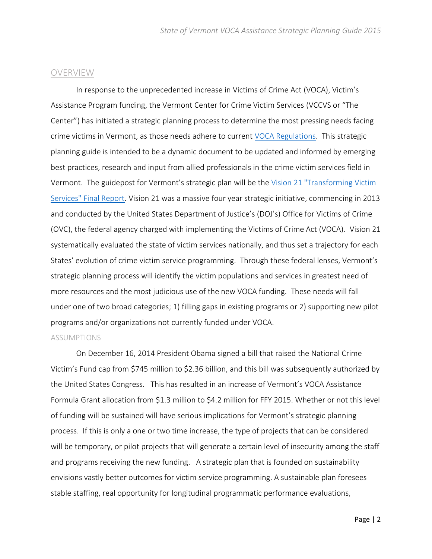### OVERVIEW

In response to the unprecedented increase in Victims of Crime Act (VOCA), Victim's Assistance Program funding, the Vermont Center for Crime Victim Services (VCCVS or "The Center") has initiated a strategic planning process to determine the most pressing needs facing crime victims in Vermont, as those needs adhere to current [VOCA Regulations.](http://www.gpo.gov/fdsys/pkg/FR-1997-04-22/pdf/97-10403.pdf) This strategic planning guide is intended to be a dynamic document to be updated and informed by emerging best practices, research and input from allied professionals in the crime victim services field in Vermont. The guidepost for Vermont's strategic plan will be the Vision 21 "Transforming Victim [Services" Final Report.](http://ovc.ncjrs.gov/vision21/pdfs/Vision21_Report.pdf) Vision 21 was a massive four year strategic initiative, commencing in 2013 and conducted by the United States Department of Justice's (DOJ's) Office for Victims of Crime (OVC), the federal agency charged with implementing the Victims of Crime Act (VOCA). Vision 21 systematically evaluated the state of victim services nationally, and thus set a trajectory for each States' evolution of crime victim service programming. Through these federal lenses, Vermont's strategic planning process will identify the victim populations and services in greatest need of more resources and the most judicious use of the new VOCA funding. These needs will fall under one of two broad categories; 1) filling gaps in existing programs or 2) supporting new pilot programs and/or organizations not currently funded under VOCA.

#### ASSUMPTIONS

On December 16, 2014 President Obama signed a bill that raised the National Crime Victim's Fund cap from \$745 million to \$2.36 billion, and this bill was subsequently authorized by the United States Congress. This has resulted in an increase of Vermont's VOCA Assistance Formula Grant allocation from \$1.3 million to \$4.2 million for FFY 2015. Whether or not this level of funding will be sustained will have serious implications for Vermont's strategic planning process. If this is only a one or two time increase, the type of projects that can be considered will be temporary, or pilot projects that will generate a certain level of insecurity among the staff and programs receiving the new funding. A strategic plan that is founded on sustainability envisions vastly better outcomes for victim service programming. A sustainable plan foresees stable staffing, real opportunity for longitudinal programmatic performance evaluations,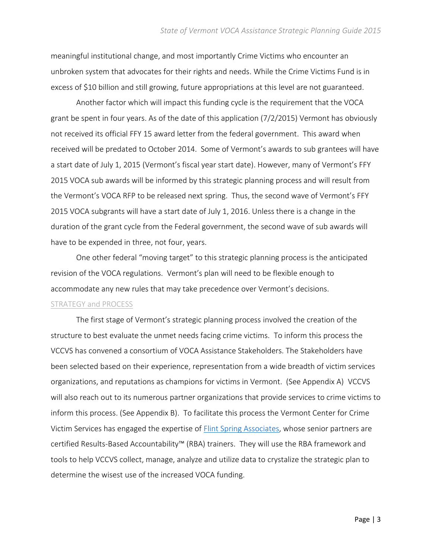meaningful institutional change, and most importantly Crime Victims who encounter an unbroken system that advocates for their rights and needs. While the Crime Victims Fund is in excess of \$10 billion and still growing, future appropriations at this level are not guaranteed.

Another factor which will impact this funding cycle is the requirement that the VOCA grant be spent in four years. As of the date of this application (7/2/2015) Vermont has obviously not received its official FFY 15 award letter from the federal government. This award when received will be predated to October 2014. Some of Vermont's awards to sub grantees will have a start date of July 1, 2015 (Vermont's fiscal year start date). However, many of Vermont's FFY 2015 VOCA sub awards will be informed by this strategic planning process and will result from the Vermont's VOCA RFP to be released next spring. Thus, the second wave of Vermont's FFY 2015 VOCA subgrants will have a start date of July 1, 2016. Unless there is a change in the duration of the grant cycle from the Federal government, the second wave of sub awards will have to be expended in three, not four, years.

One other federal "moving target" to this strategic planning process is the anticipated revision of the VOCA regulations. Vermont's plan will need to be flexible enough to accommodate any new rules that may take precedence over Vermont's decisions. STRATEGY and PROCESS

The first stage of Vermont's strategic planning process involved the creation of the structure to best evaluate the unmet needs facing crime victims. To inform this process the VCCVS has convened a consortium of VOCA Assistance Stakeholders. The Stakeholders have been selected based on their experience, representation from a wide breadth of victim services organizations, and reputations as champions for victims in Vermont. (See Appendix A) VCCVS will also reach out to its numerous partner organizations that provide services to crime victims to inform this process. (See Appendix B). To facilitate this process the Vermont Center for Crime Victim Services has engaged the expertise of [Flint Spring Associates,](http://www.flintspringsassociates.com/index.html) whose senior partners are certified Results-Based Accountability™ (RBA) trainers. They will use the RBA framework and tools to help VCCVS collect, manage, analyze and utilize data to crystalize the strategic plan to determine the wisest use of the increased VOCA funding.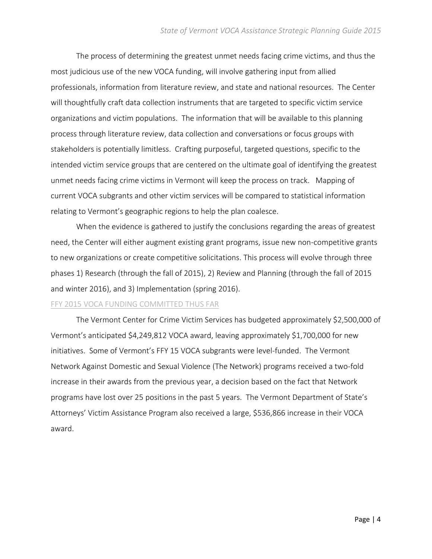The process of determining the greatest unmet needs facing crime victims, and thus the most judicious use of the new VOCA funding, will involve gathering input from allied professionals, information from literature review, and state and national resources. The Center will thoughtfully craft data collection instruments that are targeted to specific victim service organizations and victim populations. The information that will be available to this planning process through literature review, data collection and conversations or focus groups with stakeholders is potentially limitless. Crafting purposeful, targeted questions, specific to the intended victim service groups that are centered on the ultimate goal of identifying the greatest unmet needs facing crime victims in Vermont will keep the process on track. Mapping of current VOCA subgrants and other victim services will be compared to statistical information relating to Vermont's geographic regions to help the plan coalesce.

When the evidence is gathered to justify the conclusions regarding the areas of greatest need, the Center will either augment existing grant programs, issue new non-competitive grants to new organizations or create competitive solicitations. This process will evolve through three phases 1) Research (through the fall of 2015), 2) Review and Planning (through the fall of 2015 and winter 2016), and 3) Implementation (spring 2016).

#### FFY 2015 VOCA FUNDING COMMITTED THUS FAR

The Vermont Center for Crime Victim Services has budgeted approximately \$2,500,000 of Vermont's anticipated \$4,249,812 VOCA award, leaving approximately \$1,700,000 for new initiatives. Some of Vermont's FFY 15 VOCA subgrants were level-funded. The Vermont Network Against Domestic and Sexual Violence (The Network) programs received a two-fold increase in their awards from the previous year, a decision based on the fact that Network programs have lost over 25 positions in the past 5 years. The Vermont Department of State's Attorneys' Victim Assistance Program also received a large, \$536,866 increase in their VOCA award.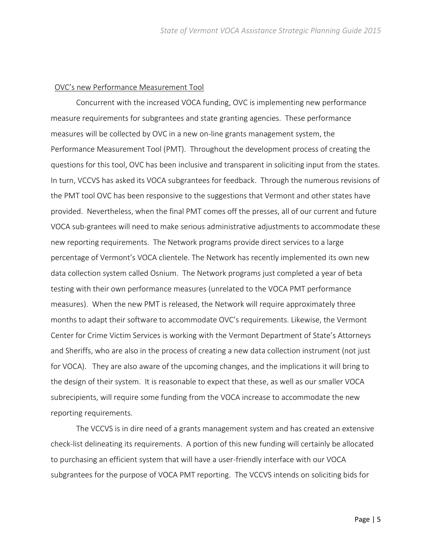#### OVC's new Performance Measurement Tool

Concurrent with the increased VOCA funding, OVC is implementing new performance measure requirements for subgrantees and state granting agencies. These performance measures will be collected by OVC in a new on-line grants management system, the Performance Measurement Tool (PMT). Throughout the development process of creating the questions for this tool, OVC has been inclusive and transparent in soliciting input from the states. In turn, VCCVS has asked its VOCA subgrantees for feedback. Through the numerous revisions of the PMT tool OVC has been responsive to the suggestions that Vermont and other states have provided. Nevertheless, when the final PMT comes off the presses, all of our current and future VOCA sub-grantees will need to make serious administrative adjustments to accommodate these new reporting requirements. The Network programs provide direct services to a large percentage of Vermont's VOCA clientele. The Network has recently implemented its own new data collection system called Osnium. The Network programs just completed a year of beta testing with their own performance measures (unrelated to the VOCA PMT performance measures). When the new PMT is released, the Network will require approximately three months to adapt their software to accommodate OVC's requirements. Likewise, the Vermont Center for Crime Victim Services is working with the Vermont Department of State's Attorneys and Sheriffs, who are also in the process of creating a new data collection instrument (not just for VOCA). They are also aware of the upcoming changes, and the implications it will bring to the design of their system. It is reasonable to expect that these, as well as our smaller VOCA subrecipients, will require some funding from the VOCA increase to accommodate the new reporting requirements.

The VCCVS is in dire need of a grants management system and has created an extensive check-list delineating its requirements. A portion of this new funding will certainly be allocated to purchasing an efficient system that will have a user-friendly interface with our VOCA subgrantees for the purpose of VOCA PMT reporting. The VCCVS intends on soliciting bids for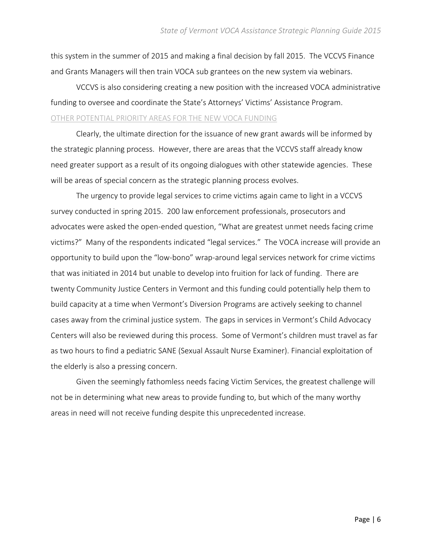this system in the summer of 2015 and making a final decision by fall 2015. The VCCVS Finance and Grants Managers will then train VOCA sub grantees on the new system via webinars.

VCCVS is also considering creating a new position with the increased VOCA administrative funding to oversee and coordinate the State's Attorneys' Victims' Assistance Program. OTHER POTENTIAL PRIORITY AREAS FOR THE NEW VOCA FUNDING

Clearly, the ultimate direction for the issuance of new grant awards will be informed by the strategic planning process. However, there are areas that the VCCVS staff already know need greater support as a result of its ongoing dialogues with other statewide agencies. These will be areas of special concern as the strategic planning process evolves.

The urgency to provide legal services to crime victims again came to light in a VCCVS survey conducted in spring 2015. 200 law enforcement professionals, prosecutors and advocates were asked the open-ended question, "What are greatest unmet needs facing crime victims?" Many of the respondents indicated "legal services." The VOCA increase will provide an opportunity to build upon the "low-bono" wrap-around legal services network for crime victims that was initiated in 2014 but unable to develop into fruition for lack of funding. There are twenty Community Justice Centers in Vermont and this funding could potentially help them to build capacity at a time when Vermont's Diversion Programs are actively seeking to channel cases away from the criminal justice system. The gaps in services in Vermont's Child Advocacy Centers will also be reviewed during this process. Some of Vermont's children must travel as far as two hours to find a pediatric SANE (Sexual Assault Nurse Examiner). Financial exploitation of the elderly is also a pressing concern.

Given the seemingly fathomless needs facing Victim Services, the greatest challenge will not be in determining what new areas to provide funding to, but which of the many worthy areas in need will not receive funding despite this unprecedented increase.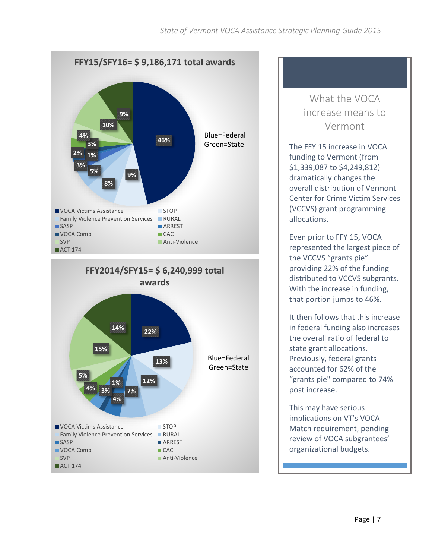



# What the VOCA increase means to Vermont

The FFY 15 increase in VOCA funding to Vermont (from \$1,339,087 to \$4,249,812) dramatically changes the overall distribution of Vermont Center for Crime Victim Services (VCCVS) grant programming allocations.

Even prior to FFY 15, VOCA represented the largest piece of the VCCVS "grants pie" providing 22% of the funding distributed to VCCVS subgrants. With the increase in funding, that portion jumps to 46%.

It then follows that this increase in federal funding also increases the overall ratio of federal to state grant allocations. Previously, federal grants accounted for 62% of the "grants pie" compared to 74% post increase.

This may have serious implications on VT's VOCA Match requirement, pending review of VOCA subgrantees' organizational budgets.

֖֖֖֖֖֖֖֖֖֖֖֖֧֚֚֚֚֚֚֚֚֚֚֚֚֚֚֚֚֚֚֚֚֬֝֓֞֡֡֓֞֡֞֡֓֡֬֓֞֡֞֓֞֡֡֡֬֓֞֡֞֞֡֡֬֞֞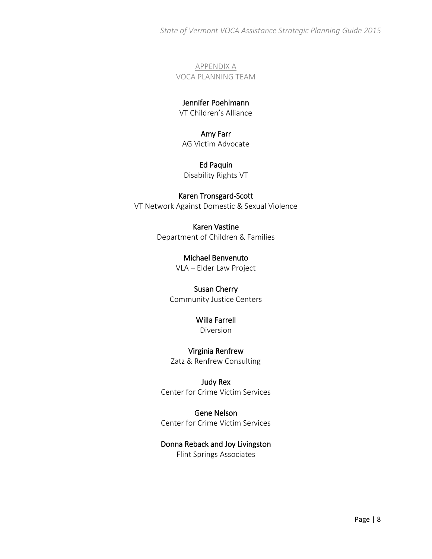*State of Vermont VOCA Assistance Strategic Planning Guide 2015*

APPENDIX A VOCA PLANNING TEAM

### Jennifer Poehlmann

VT Children's Alliance

Amy Farr AG Victim Advocate

Ed Paquin Disability Rights VT

Karen Tronsgard-Scott VT Network Against Domestic & Sexual Violence

> Karen Vastine Department of Children & Families

> > Michael Benvenuto VLA – Elder Law Project

### Susan Cherry

Community Justice Centers

# Willa Farrell

Diversion

Virginia Renfrew Zatz & Renfrew Consulting

Judy Rex Center for Crime Victim Services

Gene Nelson Center for Crime Victim Services

## Donna Reback and Joy Livingston

Flint Springs Associates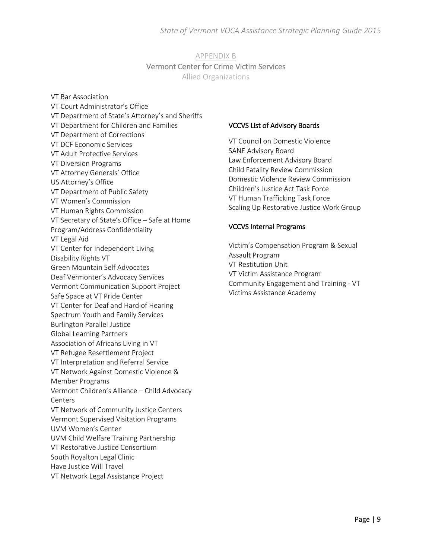### APPENDIX B Vermont Center for Crime Victim Services Allied Organizations

VT Bar Association VT Court Administrator's Office VT Department of State's Attorney's and Sheriffs VT Department for Children and Families VT Department of Corrections VT DCF Economic Services VT Adult Protective Services VT Diversion Programs VT Attorney Generals' Office US Attorney's Office VT Department of Public Safety VT Women's Commission VT Human Rights Commission VT Secretary of State's Office – Safe at Home Program/Address Confidentiality VT Legal Aid VT Center for Independent Living Disability Rights VT Green Mountain Self Advocates Deaf Vermonter's Advocacy Services Vermont Communication Support Project Safe Space at VT Pride Center VT Center for Deaf and Hard of Hearing Spectrum Youth and Family Services Burlington Parallel Justice Global Learning Partners Association of Africans Living in VT VT Refugee Resettlement Project VT Interpretation and Referral Service VT Network Against Domestic Violence & Member Programs Vermont Children's Alliance – Child Advocacy **Centers** VT Network of Community Justice Centers Vermont Supervised Visitation Programs UVM Women's Center UVM Child Welfare Training Partnership VT Restorative Justice Consortium South Royalton Legal Clinic Have Justice Will Travel VT Network Legal Assistance Project

#### VCCVS List of Advisory Boards

VT Council on Domestic Violence SANE Advisory Board Law Enforcement Advisory Board Child Fatality Review Commission Domestic Violence Review Commission Children's Justice Act Task Force VT Human Trafficking Task Force Scaling Up Restorative Justice Work Group

#### VCCVS Internal Programs

Victim's Compensation Program & Sexual Assault Program VT Restitution Unit VT Victim Assistance Program Community Engagement and Training - VT Victims Assistance Academy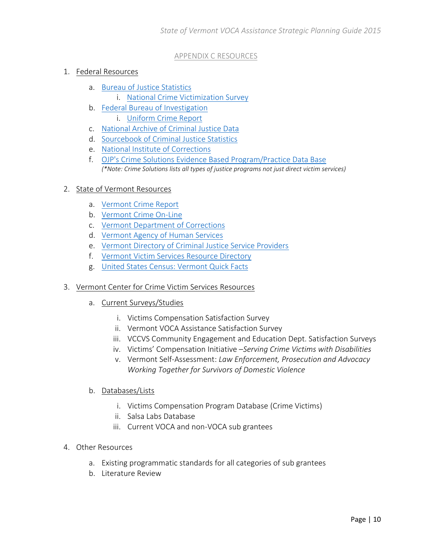### APPENDIX C RESOURCES

### 1. Federal Resources

- a. [Bureau of Justice Statistics](http://www.bjs.gov/)
	- i. [National Crime Victimization Survey](http://www.bjs.gov/index.cfm?ty=pbdetail&iid=5111)
- b. [Federal Bureau of Investigation](https://www.fbi.gov/)
	- i. [Uniform Crime Report](https://www.fbi.gov/about-us/cjis/ucr/ucr)
- c. [National Archive of Criminal Justice Data](http://www.icpsr.umich.edu/icpsrweb/NACJD/)
- d. [Sourcebook of Criminal Justice Statistics](http://www.albany.edu/sourcebook/)
- e. [National Institute of Corrections](http://nicic.gov/statestats/default.aspx)
- f. [OJP's Crime Solutions Evidence Based Program/Practice Data Base](http://www.crimesolutions.gov/)  *(\*Note: Crime Solutions lists all types of justice programs not just direct victim services)*

### 2. State of Vermont Resources

- a. [Vermont Crime Report](http://vcic.vermont.gov/crime_statistics/crime_report)
- b. [Vermont Crime On-Line](file:///C:/Users/gene/Desktop/VOCA%20FFY15%20Increase%20Planning/+http:/vcic.vermont.gov/crime+statistics/Vermont+Crime+On-Line)
- c. [Vermont Department of Corrections](http://www.doc.state.vt.us/)
- d. [Vermont Agency of Human Services](http://humanservices.vermont.gov/publications/)
- e. [Vermont Directory of Criminal Justice Service Providers](http://www.crgvt.org/datalinks/datalinks/datalinks/files/SIMDirectory.pdf)
- f. [Vermont Victim Services Resource Directory](http://www.ccvs.state.vt.us/sites/default/files/resources/Resource%20Directory%20-%20Crime%20Victim%20Services%202013.pdf)
- g. [United States Census: Vermont Quick Facts](http://quickfacts.census.gov/qfd/states/50000.html)
- 3. Vermont Center for Crime Victim Services Resources
	- a. Current Surveys/Studies
		- i. Victims Compensation Satisfaction Survey
		- ii. Vermont VOCA Assistance Satisfaction Survey
		- iii. VCCVS Community Engagement and Education Dept. Satisfaction Surveys
		- iv. Victims' Compensation Initiative –*Serving Crime Victims with Disabilities*
		- v. Vermont Self-Assessment: *Law Enforcement, Prosecution and Advocacy Working Together for Survivors of Domestic Violence*
	- b. Databases/Lists
		- i. Victims Compensation Program Database (Crime Victims)
		- ii. Salsa Labs Database
		- iii. Current VOCA and non-VOCA sub grantees
- 4. Other Resources
	- a. Existing programmatic standards for all categories of sub grantees
	- b. Literature Review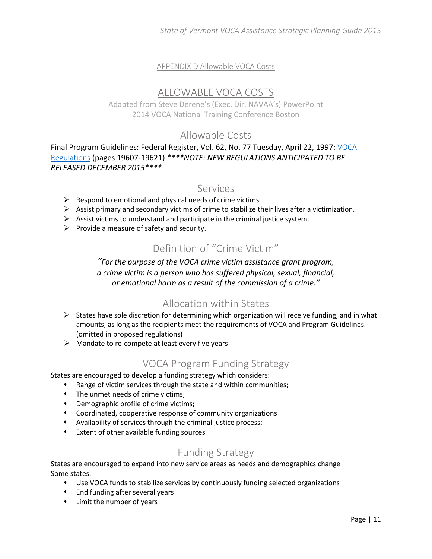### APPENDIX D Allowable VOCA Costs

## ALLOWABLE VOCA COSTS

Adapted from Steve Derene's (Exec. Dir. NAVAA's) PowerPoint 2014 VOCA National Training Conference Boston

## Allowable Costs

Final Program Guidelines: Federal Register, Vol. 62, No. 77 Tuesday, April 22, 1997: VOCA [Regulations](http://www.gpo.gov/fdsys/pkg/FR-1997-04-22/pdf/97-10403.pdf) (pages 19607-19621) *\*\*\*\*NOTE: NEW REGULATIONS ANTICIPATED TO BE RELEASED DECEMBER 2015\*\*\*\**

### Services

- $\triangleright$  Respond to emotional and physical needs of crime victims.
- $\triangleright$  Assist primary and secondary victims of crime to stabilize their lives after a victimization.
- $\triangleright$  Assist victims to understand and participate in the criminal justice system.
- $\triangleright$  Provide a measure of safety and security.

# Definition of "Crime Victim"

*"For the purpose of the VOCA crime victim assistance grant program, a crime victim is a person who has suffered physical, sexual, financial, or emotional harm as a result of the commission of a crime."*

## Allocation within States

- $\triangleright$  States have sole discretion for determining which organization will receive funding, and in what amounts, as long as the recipients meet the requirements of VOCA and Program Guidelines. (omitted in proposed regulations)
- $\triangleright$  Mandate to re-compete at least every five years

## VOCA Program Funding Strategy

States are encouraged to develop a funding strategy which considers:

- Range of victim services through the state and within communities;
- The unmet needs of crime victims;
- Demographic profile of crime victims;
- Coordinated, cooperative response of community organizations
- Availability of services through the criminal justice process;
- Extent of other available funding sources

## Funding Strategy

States are encouraged to expand into new service areas as needs and demographics change Some states:

- Use VOCA funds to stabilize services by continuously funding selected organizations
- End funding after several years
- Limit the number of years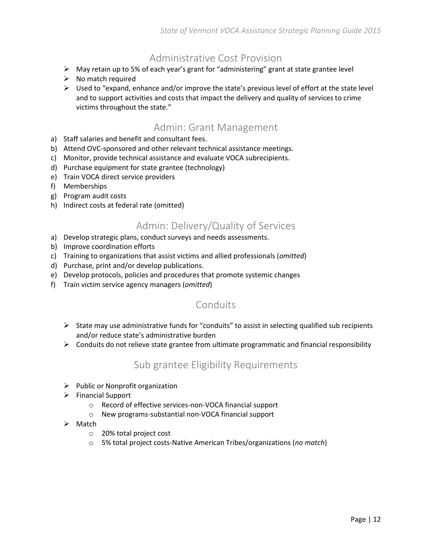# Administrative Cost Provision

- May retain up to 5% of each year's grant for "administering" grant at state grantee level
- $\triangleright$  No match required
- $\triangleright$  Used to "expand, enhance and/or improve the state's previous level of effort at the state level and to support activities and costs that impact the delivery and quality of services to crime victims throughout the state."

## Admin: Grant Management

- a) Staff salaries and benefit and consultant fees.
- b) Attend OVC-sponsored and other relevant technical assistance meetings.
- c) Monitor, provide technical assistance and evaluate VOCA subrecipients.
- d) Purchase equipment for state grantee (technology)
- e) Train VOCA direct service providers
- f) Memberships
- g) Program audit costs
- h) Indirect costs at federal rate (omitted)

## Admin: Delivery/Quality of Services

- a) Develop strategic plans, conduct surveys and needs assessments.
- b) Improve coordination efforts
- c) Training to organizations that assist victims and allied professionals (*omitted*)
- d) Purchase, print and/or develop publications.
- e) Develop protocols, policies and procedures that promote systemic changes
- f) Train victim service agency managers (*omitted*)

## Conduits

- $\triangleright$  State may use administrative funds for "conduits" to assist in selecting qualified sub recipients and/or reduce state's administrative burden
- $\triangleright$  Conduits do not relieve state grantee from ultimate programmatic and financial responsibility

## Sub grantee Eligibility Requirements

- $\triangleright$  Public or Nonprofit organization
- $\triangleright$  Financial Support
	- o Record of effective services-non-VOCA financial support
	- o New programs-substantial non-VOCA financial support
- $\triangleright$  Match
	- o 20% total project cost
	- o 5% total project costs-Native American Tribes/organizations (*no match*)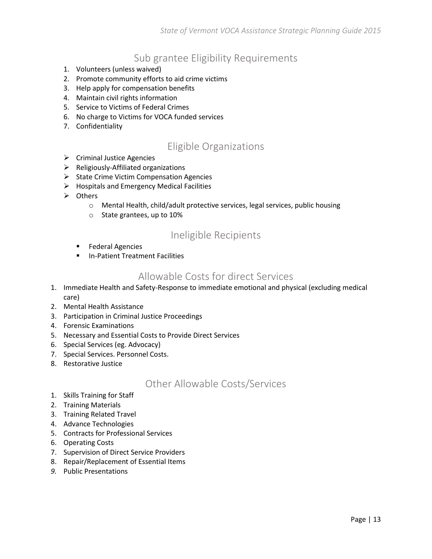# Sub grantee Eligibility Requirements

- 1. Volunteers (unless waived)
- 2. Promote community efforts to aid crime victims
- 3. Help apply for compensation benefits
- 4. Maintain civil rights information
- 5. Service to Victims of Federal Crimes
- 6. No charge to Victims for VOCA funded services
- 7. Confidentiality

# Eligible Organizations

- $\triangleright$  Criminal Justice Agencies
- $\triangleright$  Religiously-Affiliated organizations
- $\triangleright$  State Crime Victim Compensation Agencies
- $\triangleright$  Hospitals and Emergency Medical Facilities
- $\triangleright$  Others
	- o Mental Health, child/adult protective services, legal services, public housing
	- o State grantees, up to 10%

## Ineligible Recipients

- **Federal Agencies**
- **In-Patient Treatment Facilities**

## Allowable Costs for direct Services

- 1. Immediate Health and Safety-Response to immediate emotional and physical (excluding medical care)
- 2. Mental Health Assistance
- 3. Participation in Criminal Justice Proceedings
- 4. Forensic Examinations
- 5. Necessary and Essential Costs to Provide Direct Services
- 6. Special Services (eg. Advocacy)
- 7. Special Services. Personnel Costs.
- 8. Restorative Justice

## Other Allowable Costs/Services

- 1. Skills Training for Staff
- 2. Training Materials
- 3. Training Related Travel
- 4. Advance Technologies
- 5. Contracts for Professional Services
- 6. Operating Costs
- 7. Supervision of Direct Service Providers
- 8. Repair/Replacement of Essential Items
- *9.* Public Presentations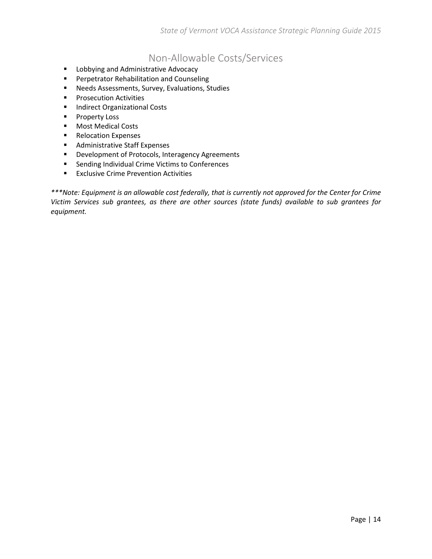## Non-Allowable Costs/Services

- **E** Lobbying and Administrative Advocacy
- **Perpetrator Rehabilitation and Counseling**
- Needs Assessments, Survey, Evaluations, Studies
- **Prosecution Activities**
- **Indirect Organizational Costs**
- **Property Loss**
- Most Medical Costs
- **Relocation Expenses**
- **Administrative Staff Expenses**
- **•** Development of Protocols, Interagency Agreements
- **EXECTE:** Sending Individual Crime Victims to Conferences
- **Exclusive Crime Prevention Activities**

*\*\*\*Note: Equipment is an allowable cost federally, that is currently not approved for the Center for Crime Victim Services sub grantees, as there are other sources (state funds) available to sub grantees for equipment.*